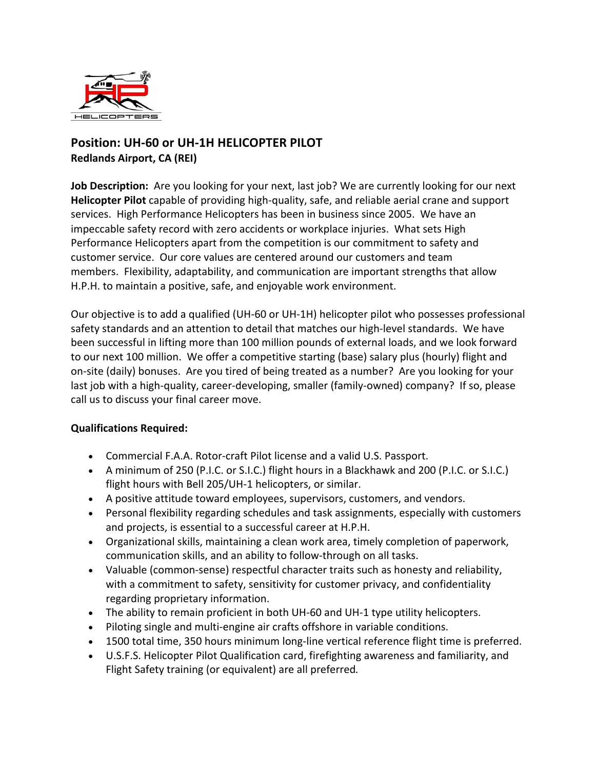

## **Position: UH-60 or UH-1H HELICOPTER PILOT Redlands Airport, CA (REI)**

**Job Description:** Are you looking for your next, last job? We are currently looking for our next **Helicopter Pilot** capable of providing high-quality, safe, and reliable aerial crane and support services. High Performance Helicopters has been in business since 2005. We have an impeccable safety record with zero accidents or workplace injuries. What sets High Performance Helicopters apart from the competition is our commitment to safety and customer service. Our core values are centered around our customers and team members. Flexibility, adaptability, and communication are important strengths that allow H.P.H. to maintain a positive, safe, and enjoyable work environment.

Our objective is to add a qualified (UH-60 or UH-1H) helicopter pilot who possesses professional safety standards and an attention to detail that matches our high-level standards. We have been successful in lifting more than 100 million pounds of external loads, and we look forward to our next 100 million. We offer a competitive starting (base) salary plus (hourly) flight and on-site (daily) bonuses. Are you tired of being treated as a number? Are you looking for your last job with a high-quality, career-developing, smaller (family-owned) company? If so, please call us to discuss your final career move.

## **Qualifications Required:**

- Commercial F.A.A. Rotor-craft Pilot license and a valid U.S. Passport.
- A minimum of 250 (P.I.C. or S.I.C.) flight hours in a Blackhawk and 200 (P.I.C. or S.I.C.) flight hours with Bell 205/UH-1 helicopters, or similar.
- A positive attitude toward employees, supervisors, customers, and vendors.
- Personal flexibility regarding schedules and task assignments, especially with customers and projects, is essential to a successful career at H.P.H.
- Organizational skills, maintaining a clean work area, timely completion of paperwork, communication skills, and an ability to follow-through on all tasks.
- Valuable (common-sense) respectful character traits such as honesty and reliability, with a commitment to safety, sensitivity for customer privacy, and confidentiality regarding proprietary information.
- The ability to remain proficient in both UH-60 and UH-1 type utility helicopters.
- Piloting single and multi-engine air crafts offshore in variable conditions.
- 1500 total time, 350 hours minimum long-line vertical reference flight time is preferred.
- U.S.F.S. Helicopter Pilot Qualification card, firefighting awareness and familiarity, and Flight Safety training (or equivalent) are all preferred*.*